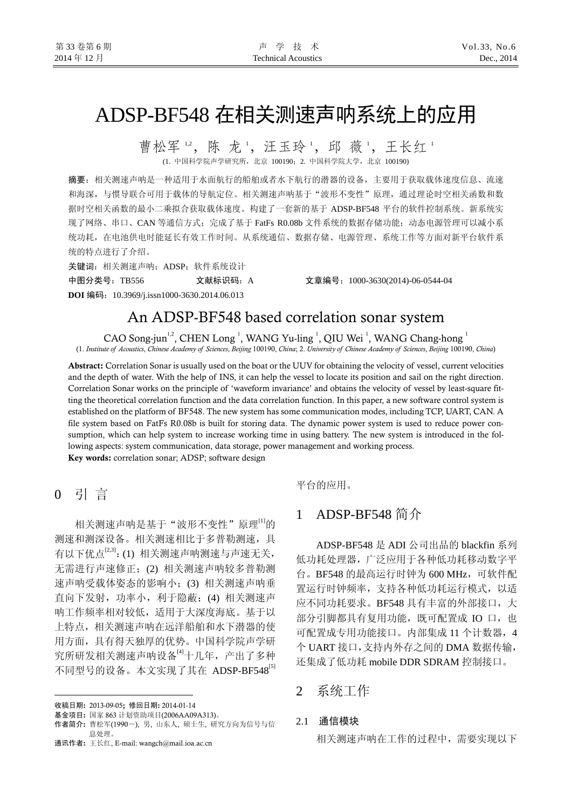# ADSP-BF548 在相关测速声呐系统上的应用

曹松军12,陈龙1,汪玉玲1,邱薇1,王长红1 (1. 中国科学院声学研究所,北京 100190;2. 中国科学院大学,北京 100190)

摘要:相关测速声呐是一种适用于水面航行的船舶或者水下航行的潜器的设备,主要用于获取载体速度信息、流速 和海深,与惯导联合可用于载体的导航定位。相关测速声呐基于"波形不变性"原理,通过理论时空相关函数和数 据时空相关函数的最小二乘拟合获取载体速度。构建了一套新的基于 ADSP-BF548 平台的软件控制系统。新系统实 现了网络、串口、CAN 等通信方式;完成了基于 FatFs R0.08b 文件系统的数据存储功能;动态电源管理可以减小系 统功耗,在电池供电时能延长有效工作时间。从系统通信、数据存储、电源管理、系统工作等方面对新平台软件系 统的特点进行了介绍。

关键词:相关测速声呐;ADSP;软件系统设计 中图分类号:TB556 文献标识码:A 文章编号:1000-3630(2014)-06-0544-04

**DOI** 编码:10.3969/j.issn1000-3630.2014.06.013

# An ADSP-BF548 based correlation sonar system

CAO Song-jun<sup>1,2</sup>, CHEN Long<sup>1</sup>, WANG Yu-ling<sup>1</sup>, QIU Wei<sup>1</sup>, WANG Chang-hong<sup>1</sup> (1. *Institute of Acoustics*, *Chinese Academy of Sciences*, *Beijing* 100190, *China*; 2. *University of Chinese Academy of Sciences*, *Beijing* 100190, *China*)

Abstract: Correlation Sonar is usually used on the boat or the UUV for obtaining the velocity of vessel, current velocities and the depth of water. With the help of INS, it can help the vessel to locate its position and sail on the right direction. Correlation Sonar works on the principle of 'waveform invariance' and obtains the velocity of vessel by least-square fitting the theoretical correlation function and the data correlation function. In this paper, a new software control system is established on the platform of BF548. The new system has some communication modes, including TCP, UART, CAN. A file system based on FatFs R0.08b is built for storing data. The dynamic power system is used to reduce power consumption, which can help system to increase working time in using battery. The new system is introduced in the following aspects: system communication, data storage, power management and working process.

Key words: correlation sonar; ADSP; software design

# 0引 言

 $\overline{a}$ 

相关测速声呐是基于"波形不变性"原理<sup>[1]</sup>的 测速和测深设备。相关测速相比于多普勒测速,具 有以下优点<sup>[2,3]</sup>: (1) 相关测速声呐测速与声速无关, 无需进行声速修正;(2) 相关测速声呐较多普勒测 速声呐受载体姿态的影响小;(3) 相关测速声呐垂 直向下发射,功率小,利于隐蔽;(4) 相关测速声 呐工作频率相对较低,适用于大深度海底。基于以 上特点,相关测速声呐在远洋船舶和水下潜器的使 用方面,具有得天独厚的优势。中国科学院声学研 究所研发相关测速声呐设备<sup>[4]</sup>十几年,产出了多种 不同型号的设备。本文实现了其在 ADSP-BF548<sup>[5]</sup>

通讯作者: 王长红, E-mail: wangch@mail.ioa.ac.cn

平台的应用。

## 1ADSP-BF548 简介

ADSP-BF548 是 ADI 公司出品的 blackfin 系列 低功耗处理器,广泛应用于各种低功耗移动数字平 台。BF548 的最高运行时钟为 600 MHz,可软件配 置运行时钟频率,支持各种低功耗运行模式,以适 应不同功耗要求。BF548 具有丰富的外部接口,大 部分引脚都具有复用功能, 既可配置成 IO 口, 也 可配置成专用功能接口。内部集成 11 个计数器,4 个 UART 接口,支持内外存之间的 DMA 数据传输, 还集成了低功耗 mobile DDR SDRAM 控制接口。

2系统工作

#### 2.1 通信模块

相关测速声呐在工作的过程中,需要实现以下

收稿日期: 2013-09-05; 修回日期: 2014-01-14

基金项目: 国家 863 计划资助项目(2006AA09A313)。

作者简介: 曹松军(1990-), 男, 山东人, 硕士生, 研究方向为信号与信 息处理。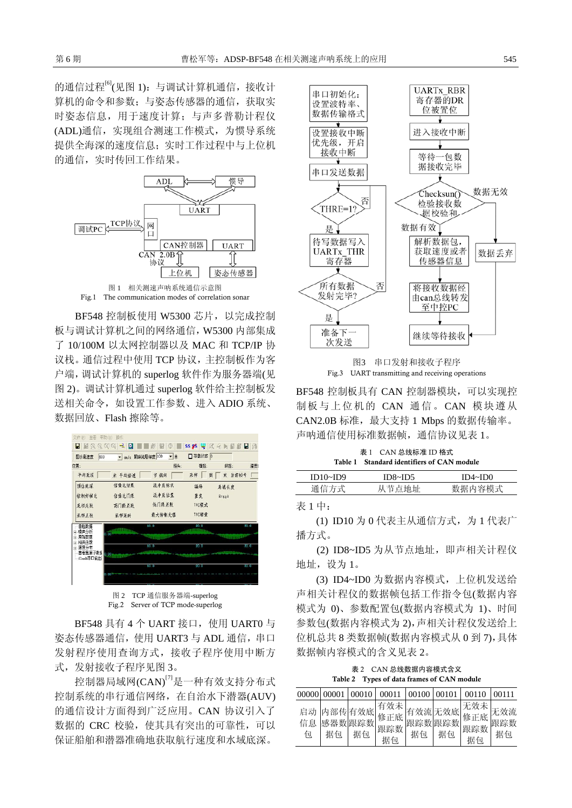的通信过程<sup>[6]</sup>(见图 1): 与调试计算机通信,接收计 算机的命令和参数;与姿态传感器的通信,获取实 时姿态信息,用于速度计算;与声多普勒计程仪 (ADL)通信,实现组合测速工作模式,为惯导系统 提供全海深的速度信息;实时工作过程中与上位机 的通信,实时传回工作结果。



BF548 控制板使用 W5300 芯片,以完成控制 板与调试计算机之间的网络通信,W5300 内部集成 了 10/100M 以太网控制器以及 MAC 和 TCP/IP 协 议栈。通信过程中使用 TCP 协议,主控制板作为客 户端,调试计算机的 superlog 软件作为服务器端(见 图 2)。调试计算机通过 superlog 软件给主控制板发 送相关命令,如设置工作参数、进入 ADIO 系统、 数据回放、Flash 擦除等。



Fig.2 Server of TCP mode-superlog

BF548 具有 4 个 UART 接口, 使用 UART0 与 姿态传感器通信, 使用 UART3 与 ADL 通信, 串口 发射程序使用查询方式,接收子程序使用中断方 式,发射接收子程序见图 3。

控制器局域网(CAN)[7]是一种有效支持分布式 控制系统的串行通信网络,在自治水下潜器(AUV) 的通信设计方面得到广泛应用。CAN 协议引入了 数据的 CRC 校验, 使其具有突出的可靠性, 可以 保证船舶和潜器准确地获取航行速度和水域底深。



图3 串口发射和接收子程序 Fig.3 UART transmitting and receiving operations

BF548 控制板具有 CAN 控制器模块,可以实现控 制板与上位机的 CAN 通信。CAN 模块遵从 CAN2.0B 标准,最大支持 1 Mbps 的数据传输率。 声呐通信使用标准数据帧,通信协议见表 1。

| 表 1 CAN 总线标准 ID 格式<br>Table 1 Standard identifiers of CAN module |         |         |  |  |  |  |
|------------------------------------------------------------------|---------|---------|--|--|--|--|
|                                                                  |         |         |  |  |  |  |
| ID10~ID9                                                         | ID8~ID5 | ID4~ID0 |  |  |  |  |
| 通信方式                                                             | 从节点地址   | 数据内容模式  |  |  |  |  |
|                                                                  |         |         |  |  |  |  |

表 1 中:

(1) ID10 为 0 代表主从通信方式, 为 1 代表广 播方式。

(2) ID8~ID5 为从节点地址,即声相关计程仪 地址,设为 1。

(3) ID4~ID0 为数据内容模式,上位机发送给 声相关计程仪的数据帧包括工作指令包(数据内容 模式为 0)、参数配置包(数据内容模式为 1)、时间 参数包(数据内容模式为 2),声相关计程仪发送给上 位机总共 8 类数据帧(数据内容模式从 0 到 7),具体 数据帧内容模式的含义见表 2。

表 2 CAN 总线数据内容模式含义 Table 2 Types of data frames of CAN module

| 00000         | 00001 | 00010        | 00011     | 00100   00101 |    | 00110     | 00111            |
|---------------|-------|--------------|-----------|---------------|----|-----------|------------------|
| 启动<br>信息<br>句 | 据句    | 感器数跟踪数<br>据句 | 跟踪数<br>据何 | 跟踪数跟踪数<br>据句  | 据句 | 跟踪数<br>据句 | 无效流<br>跟踪数<br>据包 |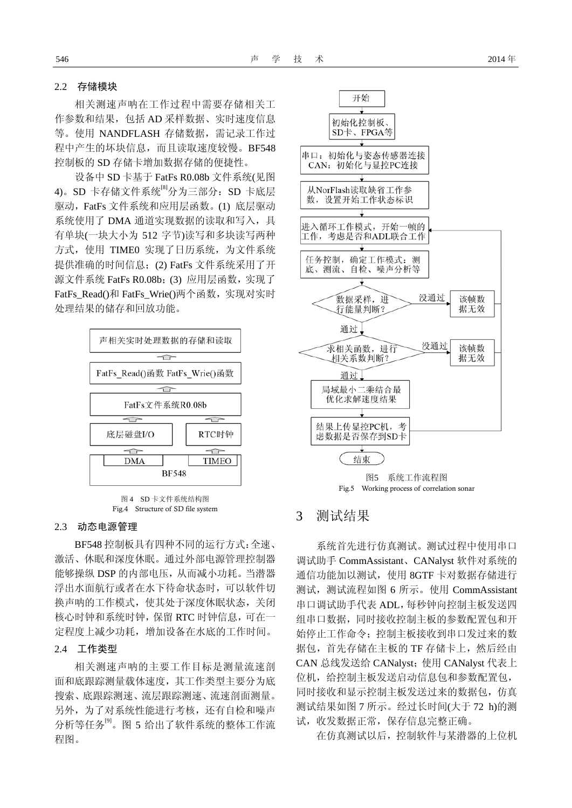#### 2.2 存储模块

相关测速声呐在工作过程中需要存储相关工 作参数和结果,包括 AD 采样数据、实时速度信息 等。使用 NANDFLASH 存储数据,需记录工作过 程中产生的坏块信息,而且读取速度较慢。BF548 控制板的 SD 存储卡增加数据存储的便捷性。

设备中 SD 卡基于 FatFs R0.08b 文件系统(见图 4)。SD 卡存储文件系统<sup>[8]</sup>分为三部分: SD 卡底层 驱动,FatFs 文件系统和应用层函数。(1) 底层驱动 系统使用了 DMA 通道实现数据的读取和写入, 具 有单块(一块大小为 512 字节)读写和多块读写两种 方式,使用 TIME0 实现了日历系统,为文件系统 提供准确的时间信息;(2) FatFs 文件系统采用了开 源文件系统 FatFs R0.08b;(3) 应用层函数, 实现了 FatFs\_Read()和 FatFs\_Wrie()两个函数, 实现对实时 处理结果的储存和回放功能。



图 4 SD 卡文件系统结构图 Fig.4 Structure of SD file system

#### 2.3 动态电源管理

BF548 控制板具有四种不同的运行方式:全速、 激活、休眠和深度休眠。通过外部电源管理控制器 能够操纵 DSP 的内部电压,从而减小功耗。当潜器 浮出水面航行或者在水下待命状态时,可以软件切 换声呐的工作模式,使其处于深度休眠状态,关闭 核心时钟和系统时钟,保留 RTC 时钟信息,可在一 定程度上减少功耗,增加设备在水底的工作时间。

#### 2.4 工作类型

相关测速声呐的主要工作目标是测量流速剖 面和底跟踪测量载体速度,其工作类型主要分为底 搜索、底跟踪测速、流层跟踪测速、流速剖面测量。 另外,为了对系统性能进行考核,还有自检和噪声 分析等任务[9]。图 5 给出了软件系统的整体工作流 程图。



图5 系统工作流程图 Fig.5 Working process of correlation sonar

### 3 测试结果

系统首先进行仿真测试。测试过程中使用串口 调试助手 CommAssistant、CANalyst 软件对系统的 通信功能加以测试,使用 8GTF 卡对数据存储进行 测试,测试流程如图 6 所示。使用 CommAssistant 串口调试助手代表 ADL,每秒钟向控制主板发送四 组串口数据,同时接收控制主板的参数配置包和开 始停止工作命令;控制主板接收到串口发过来的数 据包,首先存储在主板的 TF 存储卡上,然后经由 CAN 总线发送给 CANalyst;使用 CANalyst 代表上 位机,给控制主板发送启动信息包和参数配置包, 同时接收和显示控制主板发送过来的数据包,仿真 测试结果如图 7 所示。经过长时间(大于 72 h)的测 试,收发数据正常,保存信息完整正确。

在仿真测试以后,控制软件与某潜器的上位机